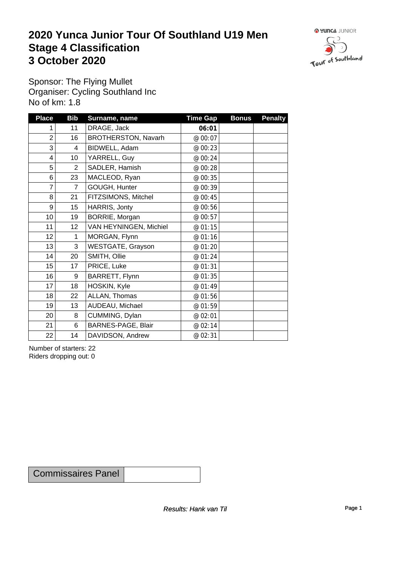### **2020 Yunca Junior Tour Of Southland U19 Men** Stage 4 Classification<br>
3 October 2020 **3 October 2020**



Sponsor: The Flying Mullet Organiser: Cycling Southland Inc No of km: 1.8

| <b>Place</b>            | <b>Bib</b>      | Surname, name              | <b>Time Gap</b> | <b>Bonus</b> | <b>Penalty</b> |
|-------------------------|-----------------|----------------------------|-----------------|--------------|----------------|
|                         | 11              | DRAGE, Jack                | 06:01           |              |                |
| $\overline{2}$          | 16              | <b>BROTHERSTON, Navarh</b> | @ 00:07         |              |                |
| 3                       | 4               | BIDWELL, Adam              | @ 00:23         |              |                |
| $\overline{\mathbf{4}}$ | 10 <sup>1</sup> | YARRELL, Guy               | @ 00:24         |              |                |
| 5                       | $\overline{2}$  | SADLER, Hamish             | @ 00:28         |              |                |
| 6                       | 23              | MACLEOD, Ryan              | @ 00:35         |              |                |
| $\overline{7}$          | 7               | GOUGH, Hunter              | @ 00:39         |              |                |
| 8                       | 21              | FITZSIMONS, Mitchel        | @ 00:45         |              |                |
| 9                       | 15              | HARRIS, Jonty              | @ 00:56         |              |                |
| 10 <sup>1</sup>         | 19              | BORRIE, Morgan             | @ 00:57         |              |                |
| 11                      | 12              | VAN HEYNINGEN, Michiel     | @ 01:15         |              |                |
| 12                      | 1               | MORGAN, Flynn              | @ 01:16         |              |                |
| 13                      | 3               | WESTGATE, Grayson          | @ 01:20         |              |                |
| 14                      | 20              | SMITH, Ollie               | @ 01:24         |              |                |
| 15                      | 17              | PRICE, Luke                | @ 01:31         |              |                |
| 16                      | $9\,$           | BARRETT, Flynn             | @ 01:35         |              |                |
| 17                      | 18              | HOSKIN, Kyle               | @ 01:49         |              |                |
| 18                      | 22              | ALLAN, Thomas              | @ 01:56         |              |                |
| 19                      | 13              | AUDEAU, Michael            | @ 01:59         |              |                |
| 20 <sup>°</sup>         | 8               | CUMMING, Dylan             | @ 02:01         |              |                |
| 21                      | 6               | BARNES-PAGE, Blair         | @ 02:14         |              |                |
| 22                      | 14              | DAVIDSON, Andrew           | @ 02:31         |              |                |

Number of starters: 22 Riders dropping out: 0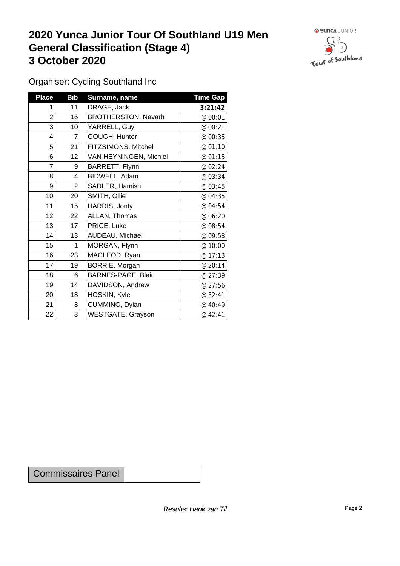### **2020 Yunca Junior Tour Of Southland U19 Men General Classification (Stage 4)**<br> **3 October 2020 3 October 2020**



Organiser: Cycling Southland Inc

| <b>Place</b> | <b>Bib</b>      | Surname, name              | <b>Time Gap</b> |
|--------------|-----------------|----------------------------|-----------------|
|              | 11              | DRAGE, Jack                | 3:21:42         |
| 2            | 16              | <b>BROTHERSTON, Navarh</b> | @ 00:01         |
| 3            | 10 <sup>1</sup> | YARRELL, Guy               | @ 00:21         |
| 4            | $\overline{7}$  | GOUGH, Hunter              | @ 00:35         |
| 5            | 21              | FITZSIMONS, Mitchel        | @ 01:10         |
| 6            | 12              | VAN HEYNINGEN, Michiel     | @ 01:15         |
| 7            | 9               | BARRETT, Flynn             | @ 02:24         |
| $\bf 8$      | 4               | BIDWELL, Adam              | @ 03:34         |
| 9            | $\overline{2}$  | SADLER, Hamish             | @ 03:45         |
| 10           | 20              | SMITH, Ollie               | @ 04:35         |
| 11           | 15              | HARRIS, Jonty              | @ 04:54         |
| 12           | 22              | ALLAN, Thomas              | @ 06:20         |
| 13           | 17              | PRICE, Luke                | @ 08:54         |
| 14           | 13              | AUDEAU, Michael            | @ 09:58         |
| 15           | 1               | MORGAN, Flynn              | @ 10:00         |
| 16           | 23              | MACLEOD, Ryan              | @ 17:13         |
| 17           | 19              | BORRIE, Morgan             | @ 20:14         |
| 18           | 6               | BARNES-PAGE, Blair         | @ 27:39         |
| 19           | 14              | DAVIDSON, Andrew           | @ 27:56         |
| 20           | 18              | HOSKIN, Kyle               | @ 32:41         |
| 21           | 8               | CUMMING, Dylan             | @ 40:49         |
| 22           | 3               | <b>WESTGATE, Grayson</b>   | @ 42:41         |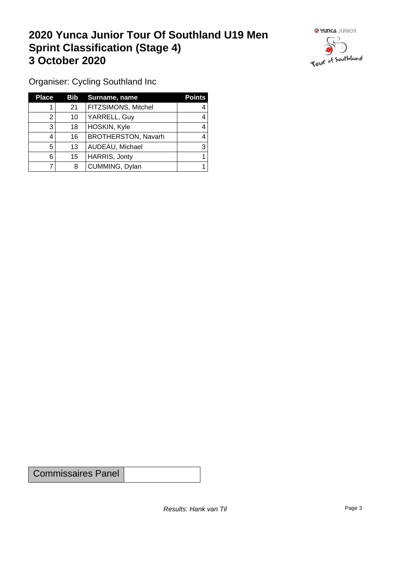### **2020 Yunca Junior Tour Of Southland U19 Men Sprint Classification (Stage 4) 3 October 2020**



Organiser: Cycling Southland Inc

| <b>Place</b> | Bib | Surname, name              | <b>Points</b> |
|--------------|-----|----------------------------|---------------|
|              | 21  | <b>FITZSIMONS, Mitchel</b> |               |
| າ            | 10  | YARRELL, Guy               | 4             |
| 3            | 18  | HOSKIN, Kyle               |               |
| 4            | 16  | <b>BROTHERSTON, Navarh</b> |               |
| 5            | 13  | AUDEAU, Michael            | 3             |
| 6            | 15  | HARRIS, Jonty              |               |
|              | 8   | CUMMING, Dylan             |               |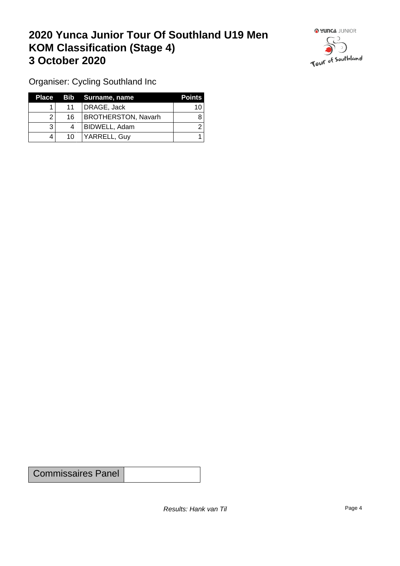## **2020 Yunca Junior Tour Of Southland U19 Men KOM Classification (Stage 4) 3 October 2020 1999 <b>1999 1999 1999 1999 1999 1999 1999 1999 1999 1999 1999 1999 1999 1999 1999 1999 1999 1999 1999 1999 1999 1999 1999 1999 1999 1999 1999 1999 19**



Organiser: Cycling Southland Inc

| Place |    | Bib Surname, name          | <b>Points</b> |
|-------|----|----------------------------|---------------|
|       | 11 | DRAGE, Jack                | 10            |
|       | 16 | <b>BROTHERSTON, Navarh</b> |               |
|       |    | BIDWELL, Adam              |               |
|       | 10 | YARRELL, Guy               |               |